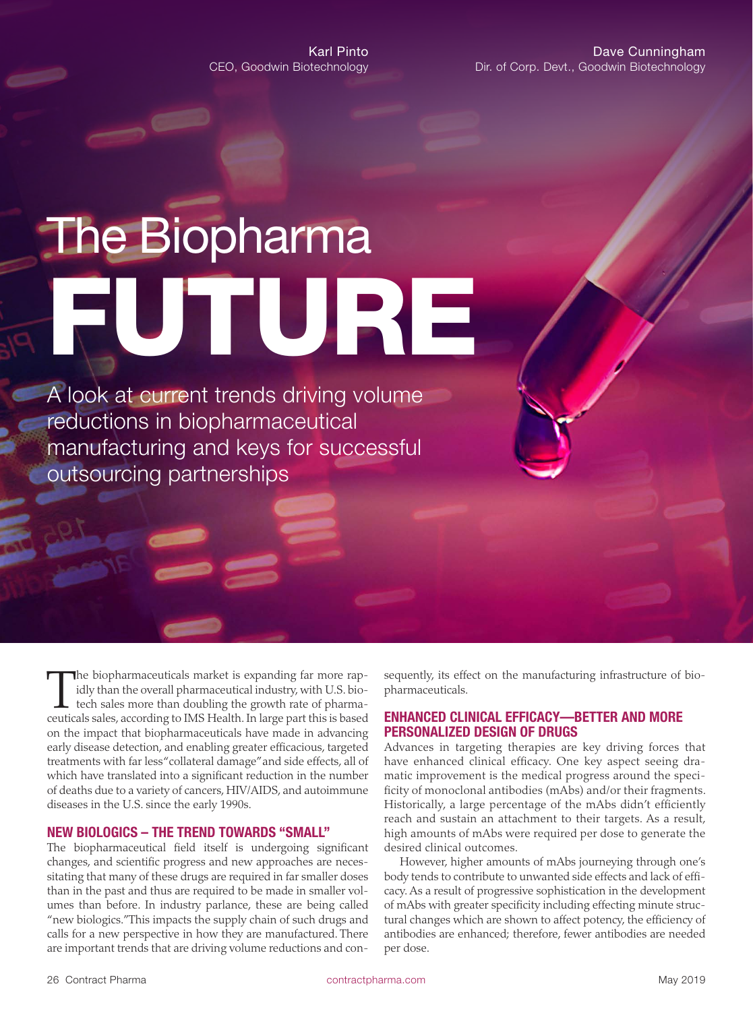# **The Biopharma** FUTURE

A look at current trends driving volume reductions in biopharmaceutical manufacturing and keys for successful outsourcing partnerships

The biopharmaceuticals market is expanding far more rap-<br>idly than the overall pharmaceutical industry, with U.S. bio-<br>tech sales more than doubling the growth rate of pharma-<br>ceuticals sales, according to IMS Health. In l idly than the overall pharmaceutical industry, with U.S. bioceuticals sales, according to IMS Health. In large part this is based on the impact that biopharmaceuticals have made in advancing early disease detection, and enabling greater efficacious, targeted treatments with far less "collateral damage" and side effects, all of which have translated into a significant reduction in the number of deaths due to a variety of cancers, HIV/AIDS, and autoimmune diseases in the U.S. since the early 1990s.

#### NEW BIOLOGICS – THE TREND TOWARDS "SMALL"

The biopharmaceutical field itself is undergoing significant changes, and scientific progress and new approaches are necessitating that many of these drugs are required in far smaller doses than in the past and thus are required to be made in smaller volumes than before. In industry parlance, these are being called "new biologics." This impacts the supply chain of such drugs and calls for a new perspective in how they are manufactured. There are important trends that are driving volume reductions and consequently, its effect on the manufacturing infrastructure of biopharmaceuticals.

#### ENHANCED CLINICAL EFFICACY—BETTER AND MORE PERSONALIZED DESIGN OF DRUGS

Advances in targeting therapies are key driving forces that have enhanced clinical efficacy. One key aspect seeing dramatic improvement is the medical progress around the specificity of monoclonal antibodies (mAbs) and/or their fragments. Historically, a large percentage of the mAbs didn't efficiently reach and sustain an attachment to their targets. As a result, high amounts of mAbs were required per dose to generate the desired clinical outcomes.

However, higher amounts of mAbs journeying through one's body tends to contribute to unwanted side effects and lack of efficacy. As a result of progressive sophistication in the development of mAbs with greater specificity including effecting minute structural changes which are shown to affect potency, the efficiency of antibodies are enhanced; therefore, fewer antibodies are needed per dose.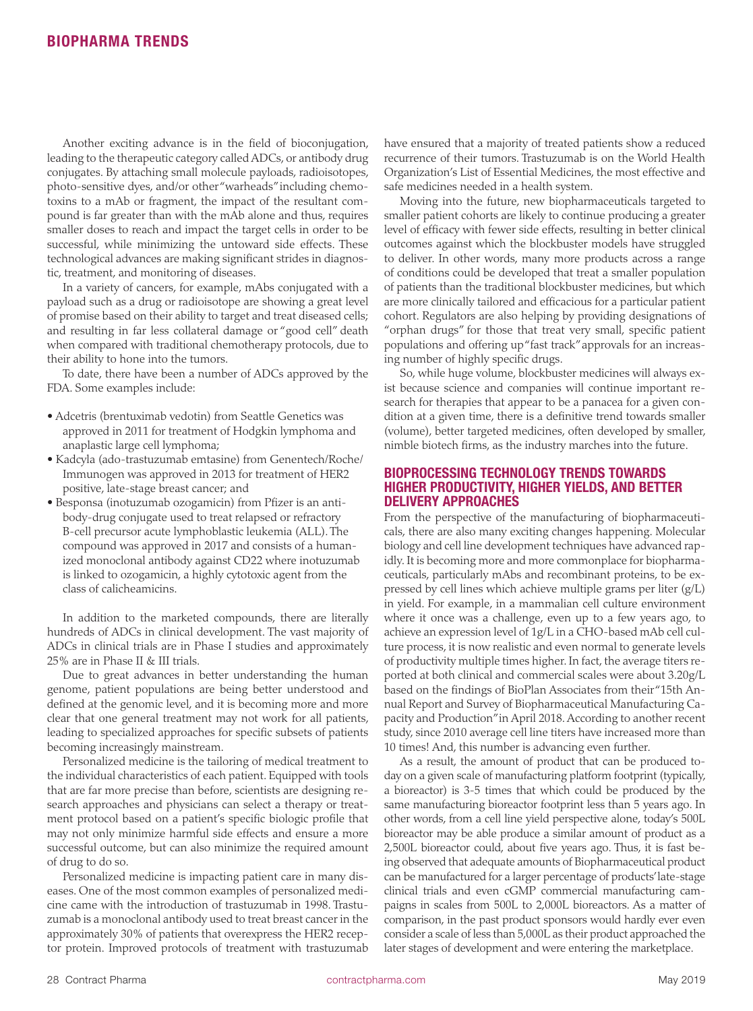Another exciting advance is in the field of bioconjugation, leading to the therapeutic category called ADCs, or antibody drug conjugates. By attaching small molecule payloads, radioisotopes, photo-sensitive dyes, and/or other "warheads" including chemotoxins to a mAb or fragment, the impact of the resultant compound is far greater than with the mAb alone and thus, requires smaller doses to reach and impact the target cells in order to be successful, while minimizing the untoward side effects. These technological advances are making significant strides in diagnostic, treatment, and monitoring of diseases.

In a variety of cancers, for example, mAbs conjugated with a payload such as a drug or radioisotope are showing a great level of promise based on their ability to target and treat diseased cells; and resulting in far less collateral damage or "good cell" death when compared with traditional chemotherapy protocols, due to their ability to hone into the tumors.

To date, there have been a number of ADCs approved by the FDA. Some examples include:

- Adcetris (brentuximab vedotin) from Seattle Genetics was approved in 2011 for treatment of Hodgkin lymphoma and anaplastic large cell lymphoma;
- Kadcyla (ado-trastuzumab emtasine) from Genentech/Roche/ Immunogen was approved in 2013 for treatment of HER2 positive, late-stage breast cancer; and
- Besponsa (inotuzumab ozogamicin) from Pfizer is an antibody-drug conjugate used to treat relapsed or refractory B-cell precursor acute lymphoblastic leukemia (ALL). The compound was approved in 2017 and consists of a humanized monoclonal antibody against CD22 where inotuzumab is linked to ozogamicin, a highly cytotoxic agent from the class of calicheamicins.

In addition to the marketed compounds, there are literally hundreds of ADCs in clinical development. The vast majority of ADCs in clinical trials are in Phase I studies and approximately 25% are in Phase II & III trials.

Due to great advances in better understanding the human genome, patient populations are being better understood and defined at the genomic level, and it is becoming more and more clear that one general treatment may not work for all patients, leading to specialized approaches for specific subsets of patients becoming increasingly mainstream.

Personalized medicine is the tailoring of medical treatment to the individual characteristics of each patient. Equipped with tools that are far more precise than before, scientists are designing research approaches and physicians can select a therapy or treatment protocol based on a patient's specific biologic profile that may not only minimize harmful side effects and ensure a more successful outcome, but can also minimize the required amount of drug to do so.

Personalized medicine is impacting patient care in many diseases. One of the most common examples of personalized medicine came with the introduction of trastuzumab in 1998. Trastuzumab is a monoclonal antibody used to treat breast cancer in the approximately 30% of patients that overexpress the HER2 receptor protein. Improved protocols of treatment with trastuzumab have ensured that a majority of treated patients show a reduced recurrence of their tumors. Trastuzumab is on the World Health Organization's List of Essential Medicines, the most effective and safe medicines needed in a health system.

Moving into the future, new biopharmaceuticals targeted to smaller patient cohorts are likely to continue producing a greater level of efficacy with fewer side effects, resulting in better clinical outcomes against which the blockbuster models have struggled to deliver. In other words, many more products across a range of conditions could be developed that treat a smaller population of patients than the traditional blockbuster medicines, but which are more clinically tailored and efficacious for a particular patient cohort. Regulators are also helping by providing designations of "orphan drugs" for those that treat very small, specific patient populations and offering up "fast track" approvals for an increasing number of highly specific drugs.

So, while huge volume, blockbuster medicines will always exist because science and companies will continue important research for therapies that appear to be a panacea for a given condition at a given time, there is a definitive trend towards smaller (volume), better targeted medicines, often developed by smaller, nimble biotech firms, as the industry marches into the future.

#### BIOPROCESSING TECHNOLOGY TRENDS TOWARDS HIGHER PRODUCTIVITY, HIGHER YIELDS, AND BETTER DELIVERY APPROACHES

From the perspective of the manufacturing of biopharmaceuticals, there are also many exciting changes happening. Molecular biology and cell line development techniques have advanced rapidly. It is becoming more and more commonplace for biopharmaceuticals, particularly mAbs and recombinant proteins, to be expressed by cell lines which achieve multiple grams per liter (g/L) in yield. For example, in a mammalian cell culture environment where it once was a challenge, even up to a few years ago, to achieve an expression level of 1g/L in a CHO-based mAb cell culture process, it is now realistic and even normal to generate levels of productivity multiple times higher. In fact, the average titers reported at both clinical and commercial scales were about 3.20g/L based on the findings of BioPlan Associates from their "15th Annual Report and Survey of Biopharmaceutical Manufacturing Capacity and Production" in April 2018. According to another recent study, since 2010 average cell line titers have increased more than 10 times! And, this number is advancing even further.

As a result, the amount of product that can be produced today on a given scale of manufacturing platform footprint (typically, a bioreactor) is 3-5 times that which could be produced by the same manufacturing bioreactor footprint less than 5 years ago. In other words, from a cell line yield perspective alone, today's 500L bioreactor may be able produce a similar amount of product as a 2,500L bioreactor could, about five years ago. Thus, it is fast being observed that adequate amounts of Biopharmaceutical product can be manufactured for a larger percentage of products' late-stage clinical trials and even cGMP commercial manufacturing campaigns in scales from 500L to 2,000L bioreactors. As a matter of comparison, in the past product sponsors would hardly ever even consider a scale of less than 5,000L as their product approached the later stages of development and were entering the marketplace.